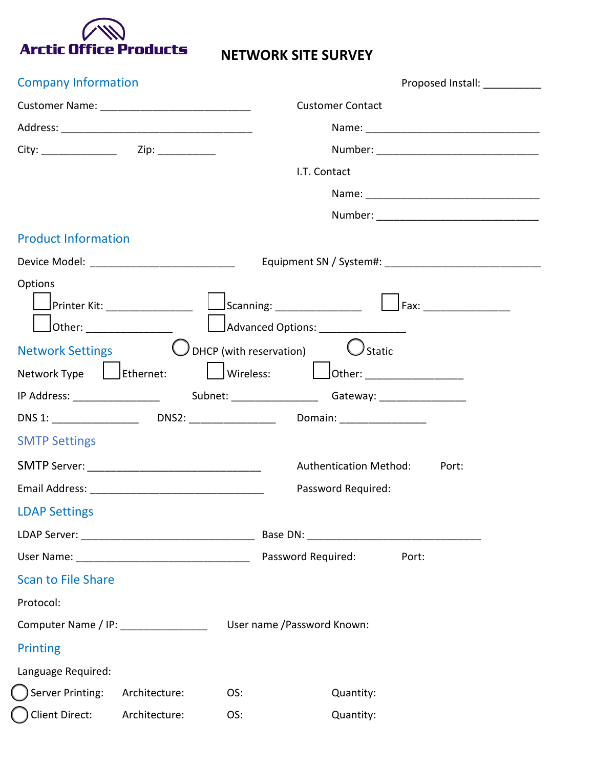

## **NETWORK SITE SURVEY**

| <b>Company Information</b>                     |                                                                                                    |  |
|------------------------------------------------|----------------------------------------------------------------------------------------------------|--|
| Customer Name: _______________________________ | <b>Customer Contact</b>                                                                            |  |
|                                                |                                                                                                    |  |
|                                                |                                                                                                    |  |
|                                                | I.T. Contact                                                                                       |  |
|                                                |                                                                                                    |  |
|                                                |                                                                                                    |  |
| <b>Product Information</b>                     |                                                                                                    |  |
| Device Model: ______________________________   |                                                                                                    |  |
| Options<br>Printer Kit: ________________       | $\Box$ Scanning: ________________ $\Box$ Fax: ______________<br>Advanced Options: ________________ |  |
| <b>Network Settings</b>                        | $\bigcup$ DHCP (with reservation)<br>$U$ Static                                                    |  |
|                                                | Network Type   Ethernet:   Wireless:   Other: _______________                                      |  |
|                                                |                                                                                                    |  |
|                                                | Domain: ___________________                                                                        |  |
| <b>SMTP Settings</b>                           |                                                                                                    |  |
|                                                | <b>Authentication Method:</b><br>Port:                                                             |  |
|                                                | Password Required:                                                                                 |  |
| <b>LDAP Settings</b>                           |                                                                                                    |  |
|                                                |                                                                                                    |  |
|                                                | Password Required:<br>Port:                                                                        |  |
| <b>Scan to File Share</b>                      |                                                                                                    |  |
| Protocol:                                      |                                                                                                    |  |
| Computer Name / IP: ______________             | User name /Password Known:                                                                         |  |
| <b>Printing</b>                                |                                                                                                    |  |
| Language Required:                             |                                                                                                    |  |
| Server Printing:<br>Architecture:              | OS:<br>Quantity:                                                                                   |  |
| Client Direct:<br>Architecture:                | OS:<br>Quantity:                                                                                   |  |